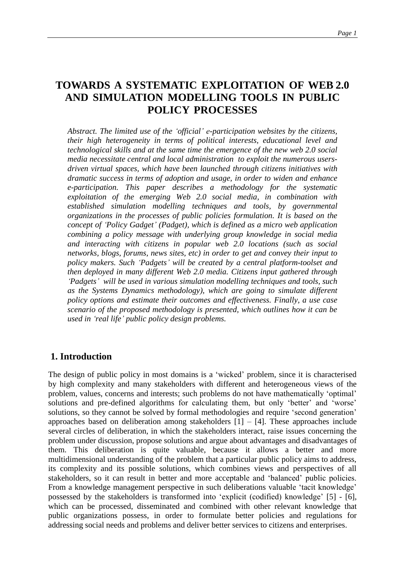# **TOWARDS A SYSTEMATIC EXPLOITATION OF WEB 2.0 AND SIMULATION MODELLING TOOLS IN PUBLIC POLICY PROCESSES**

*Abstract. The limited use of the 'official' e-participation websites by the citizens, their high heterogeneity in terms of political interests, educational level and technological skills and at the same time the emergence of the new web 2.0 social media necessitate central and local administration to exploit the numerous usersdriven virtual spaces, which have been launched through citizens initiatives with dramatic success in terms of adoption and usage, in order to widen and enhance e-participation. This paper describes a methodology for the systematic exploitation of the emerging Web 2.0 social media, in combination with established simulation modelling techniques and tools, by governmental organizations in the processes of public policies formulation. It is based on the concept of 'Policy Gadget' (Padget), which is defined as a micro web application combining a policy message with underlying group knowledge in social media and interacting with citizens in popular web 2.0 locations (such as social networks, blogs, forums, news sites, etc) in order to get and convey their input to policy makers. Such 'Padgets' will be created by a central platform-toolset and then deployed in many different Web 2.0 media. Citizens input gathered through 'Padgets' will be used in various simulation modelling techniques and tools, such as the Systems Dynamics methodology), which are going to simulate different policy options and estimate their outcomes and effectiveness. Finally, a use case scenario of the proposed methodology is presented, which outlines how it can be used in 'real life' public policy design problems.*

### **1. Introduction**

The design of public policy in most domains is a "wicked" problem, since it is characterised by high complexity and many stakeholders with different and heterogeneous views of the problem, values, concerns and interests; such problems do not have mathematically "optimal" solutions and pre-defined algorithms for calculating them, but only 'better' and 'worse' solutions, so they cannot be solved by formal methodologies and require 'second generation' approaches based on deliberation among stakeholders  $[1] - [4]$ . These approaches include several circles of deliberation, in which the stakeholders interact, raise issues concerning the problem under discussion, propose solutions and argue about advantages and disadvantages of them. This deliberation is quite valuable, because it allows a better and more multidimensional understanding of the problem that a particular public policy aims to address, its complexity and its possible solutions, which combines views and perspectives of all stakeholders, so it can result in better and more acceptable and "balanced" public policies. From a knowledge management perspective in such deliberations valuable "tacit knowledge" possessed by the stakeholders is transformed into "explicit (codified) knowledge" [5] - [6], which can be processed, disseminated and combined with other relevant knowledge that public organizations possess, in order to formulate better policies and regulations for addressing social needs and problems and deliver better services to citizens and enterprises.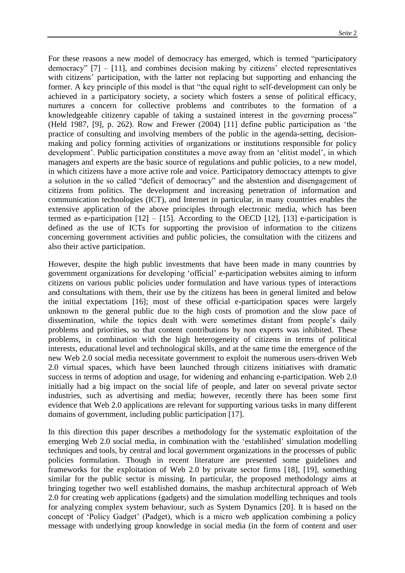For these reasons a new model of democracy has emerged, which is termed "participatory democracy"  $[7] - [11]$ , and combines decision making by citizens' elected representatives with citizens' participation, with the latter not replacing but supporting and enhancing the former. A key principle of this model is that "the equal right to self-development can only be achieved in a participatory society, a society which fosters a sense of political efficacy, nurtures a concern for collective problems and contributes to the formation of a knowledgeable citizenry capable of taking a sustained interest in the governing process" (Held 1987, [9], p. 262). Row and Frewer (2004) [11] define public participation as "the practice of consulting and involving members of the public in the agenda-setting, decisionmaking and policy forming activities of organizations or institutions responsible for policy development'. Public participation constitutes a move away from an 'elitist model', in which managers and experts are the basic source of regulations and public policies, to a new model, in which citizens have a more active role and voice. Participatory democracy attempts to give a solution in the so called "deficit of democracy" and the abstention and disengagement of citizens from politics. The development and increasing penetration of information and communication technologies (ICT), and Internet in particular, in many countries enables the extensive application of the above principles through electronic media, which has been termed as e-participation  $[12] - [15]$ . According to the OECD  $[12]$ ,  $[13]$  e-participation is defined as the use of ICTs for supporting the provision of information to the citizens concerning government activities and public policies, the consultation with the citizens and also their active participation.

However, despite the high public investments that have been made in many countries by government organizations for developing "official" e-participation websites aiming to inform citizens on various public policies under formulation and have various types of interactions and consultations with them, their use by the citizens has been in general limited and below the initial expectations [16]; most of these official e-participation spaces were largely unknown to the general public due to the high costs of promotion and the slow pace of dissemination, while the topics dealt with were sometimes distant from people"s daily problems and priorities, so that content contributions by non experts was inhibited. These problems, in combination with the high heterogeneity of citizens in terms of political interests, educational level and technological skills, and at the same time the emergence of the new Web 2.0 social media necessitate government to exploit the numerous users-driven Web 2.0 virtual spaces, which have been launched through citizens initiatives with dramatic success in terms of adoption and usage, for widening and enhancing e-participation. Web 2.0 initially had a big impact on the social life of people, and later on several private sector industries, such as advertising and media; however, recently there has been some first evidence that Web 2.0 applications are relevant for supporting various tasks in many different domains of government, including public participation [17].

In this direction this paper describes a methodology for the systematic exploitation of the emerging Web 2.0 social media, in combination with the "established" simulation modelling techniques and tools, by central and local government organizations in the processes of public policies formulation. Though in recent literature are presented some guidelines and frameworks for the exploitation of Web 2.0 by private sector firms [18], [19], something similar for the public sector is missing. In particular, the proposed methodology aims at bringing together two well established domains, the mashup architectural approach of Web 2.0 for creating web applications (gadgets) and the simulation modelling techniques and tools for analyzing complex system behaviour, such as System Dynamics [20]. It is based on the concept of 'Policy Gadget' (Padget), which is a micro web application combining a policy message with underlying group knowledge in social media (in the form of content and user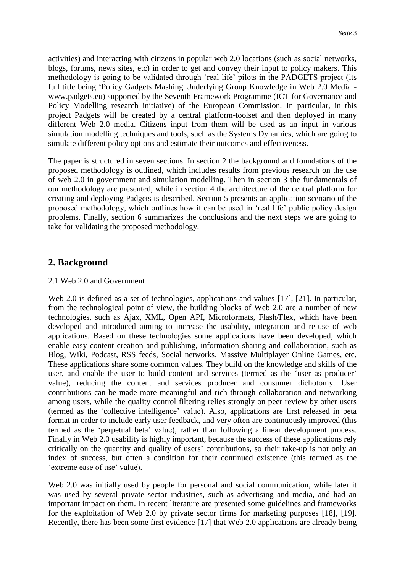activities) and interacting with citizens in popular web 2.0 locations (such as social networks, blogs, forums, news sites, etc) in order to get and convey their input to policy makers. This methodology is going to be validated through "real life" pilots in the PADGETS project (its full title being "Policy Gadgets Mashing Underlying Group Knowledge in Web 2.0 Media www.padgets.eu) supported by the Seventh Framework Programme (ICT for Governance and Policy Modelling research initiative) of the European Commission. In particular, in this project Padgets will be created by a central platform-toolset and then deployed in many different Web 2.0 media. Citizens input from them will be used as an input in various simulation modelling techniques and tools, such as the Systems Dynamics, which are going to simulate different policy options and estimate their outcomes and effectiveness.

The paper is structured in seven sections. In section 2 the background and foundations of the proposed methodology is outlined, which includes results from previous research on the use of web 2.0 in government and simulation modelling. Then in section 3 the fundamentals of our methodology are presented, while in section 4 the architecture of the central platform for creating and deploying Padgets is described. Section 5 presents an application scenario of the proposed methodology, which outlines how it can be used in "real life" public policy design problems. Finally, section 6 summarizes the conclusions and the next steps we are going to take for validating the proposed methodology.

### **2. Background**

#### 2.1 Web 2.0 and Government

Web 2.0 is defined as a set of technologies, applications and values [17], [21]. In particular, from the technological point of view, the building blocks of Web 2.0 are a number of new technologies, such as Ajax, XML, Open API, Microformats, Flash/Flex, which have been developed and introduced aiming to increase the usability, integration and re-use of web applications. Based on these technologies some applications have been developed, which enable easy content creation and publishing, information sharing and collaboration, such as Blog, Wiki, Podcast, RSS feeds, Social networks, Massive Multiplayer Online Games, etc. These applications share some common values. They build on the knowledge and skills of the user, and enable the user to build content and services (termed as the 'user as producer' value), reducing the content and services producer and consumer dichotomy. User contributions can be made more meaningful and rich through collaboration and networking among users, while the quality control filtering relies strongly on peer review by other users (termed as the "collective intelligence" value). Also, applications are first released in beta format in order to include early user feedback, and very often are continuously improved (this termed as the "perpetual beta" value), rather than following a linear development process. Finally in Web 2.0 usability is highly important, because the success of these applications rely critically on the quantity and quality of users" contributions, so their take-up is not only an index of success, but often a condition for their continued existence (this termed as the 'extreme ease of use' value).

Web 2.0 was initially used by people for personal and social communication, while later it was used by several private sector industries, such as advertising and media, and had an important impact on them. In recent literature are presented some guidelines and frameworks for the exploitation of Web 2.0 by private sector firms for marketing purposes [18], [19]. Recently, there has been some first evidence [17] that Web 2.0 applications are already being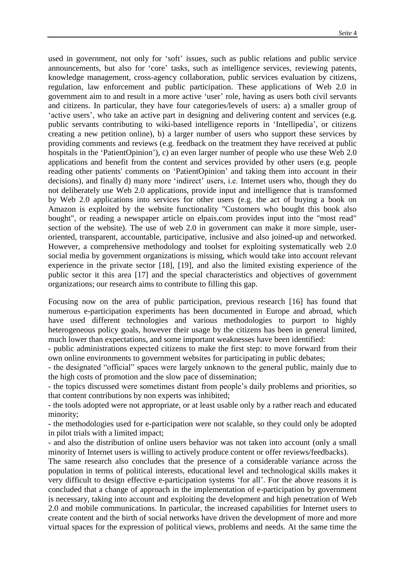used in government, not only for "soft" issues, such as public relations and public service announcements, but also for "core" tasks, such as intelligence services, reviewing patents, knowledge management, cross-agency collaboration, public services evaluation by citizens, regulation, law enforcement and public participation. These applications of Web 2.0 in government aim to and result in a more active "user" role, having as users both civil servants and citizens. In particular, they have four categories/levels of users: a) a smaller group of 'active users', who take an active part in designing and delivering content and services (e.g. public servants contributing to wiki-based intelligence reports in "Intellipedia", or citizens creating a new petition online), b) a larger number of users who support these services by providing comments and reviews (e.g. feedback on the treatment they have received at public hospitals in the 'PatientOpinion'), c) an even larger number of people who use these Web 2.0 applications and benefit from the content and services provided by other users (e.g. people reading other patients' comments on "PatientOpinion" and taking them into account in their decisions), and finally d) many more 'indirect' users, i.e. Internet users who, though they do not deliberately use Web 2.0 applications, provide input and intelligence that is transformed by Web 2.0 applications into services for other users (e.g. the act of buying a book on Amazon is exploited by the website functionality "Customers who bought this book also bought", or reading a newspaper article on elpais.com provides input into the "most read" section of the website). The use of web 2.0 in government can make it more simple, useroriented, transparent, accountable, participative, inclusive and also joined-up and networked. However, a comprehensive methodology and toolset for exploiting systematically web 2.0 social media by government organizations is missing, which would take into account relevant experience in the private sector [18], [19], and also the limited existing experience of the public sector it this area [17] and the special characteristics and objectives of government organizations; our research aims to contribute to filling this gap.

Focusing now on the area of public participation, previous research [16] has found that numerous e-participation experiments has been documented in Europe and abroad, which have used different technologies and various methodologies to purport to highly heterogeneous policy goals, however their usage by the citizens has been in general limited, much lower than expectations, and some important weaknesses have been identified:

- public administrations expected citizens to make the first step: to move forward from their own online environments to government websites for participating in public debates;

- the designated "official" spaces were largely unknown to the general public, mainly due to the high costs of promotion and the slow pace of dissemination;

- the topics discussed were sometimes distant from people"s daily problems and priorities, so that content contributions by non experts was inhibited;

- the tools adopted were not appropriate, or at least usable only by a rather reach and educated minority;

- the methodologies used for e-participation were not scalable, so they could only be adopted in pilot trials with a limited impact;

- and also the distribution of online users behavior was not taken into account (only a small minority of Internet users is willing to actively produce content or offer reviews/feedbacks).

The same research also concludes that the presence of a considerable variance across the population in terms of political interests, educational level and technological skills makes it very difficult to design effective e-participation systems "for all". For the above reasons it is concluded that a change of approach in the implementation of e-participation by government is necessary, taking into account and exploiting the development and high penetration of Web 2.0 and mobile communications. In particular, the increased capabilities for Internet users to create content and the birth of social networks have driven the development of more and more virtual spaces for the expression of political views, problems and needs. At the same time the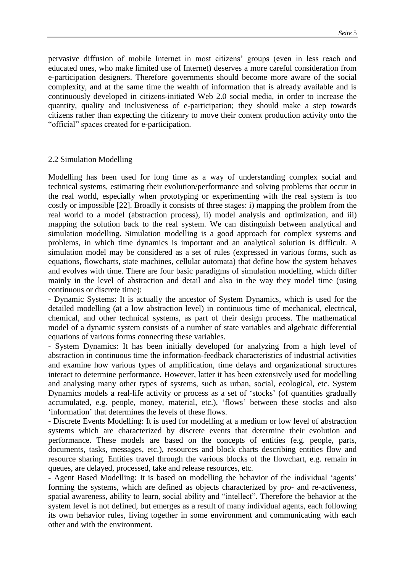pervasive diffusion of mobile Internet in most citizens" groups (even in less reach and educated ones, who make limited use of Internet) deserves a more careful consideration from e-participation designers. Therefore governments should become more aware of the social complexity, and at the same time the wealth of information that is already available and is continuously developed in citizens-initiated Web 2.0 social media, in order to increase the quantity, quality and inclusiveness of e-participation; they should make a step towards citizens rather than expecting the citizenry to move their content production activity onto the "official" spaces created for e-participation.

#### 2.2 Simulation Modelling

Modelling has been used for long time as a way of understanding complex social and technical systems, estimating their evolution/performance and solving problems that occur in the real world, especially when prototyping or experimenting with the real system is too costly or impossible [22]. Broadly it consists of three stages: i) mapping the problem from the real world to a model (abstraction process), ii) model analysis and optimization, and iii) mapping the solution back to the real system. We can distinguish between analytical and simulation modelling. Simulation modelling is a good approach for complex systems and problems, in which time dynamics is important and an analytical solution is difficult. A simulation model may be considered as a set of rules (expressed in various forms, such as equations, flowcharts, state machines, cellular automata) that define how the system behaves and evolves with time. There are four basic paradigms of simulation modelling, which differ mainly in the level of abstraction and detail and also in the way they model time (using continuous or discrete time):

- Dynamic Systems: It is actually the ancestor of System Dynamics, which is used for the detailed modelling (at a low abstraction level) in continuous time of mechanical, electrical, chemical, and other technical systems, as part of their design process. The mathematical model of a dynamic system consists of a number of state variables and algebraic differential equations of various forms connecting these variables.

- System Dynamics: It has been initially developed for analyzing from a high level of abstraction in continuous time the information-feedback characteristics of industrial activities and examine how various types of amplification, time delays and organizational structures interact to determine performance. However, latter it has been extensively used for modelling and analysing many other types of systems, such as urban, social, ecological, etc. System Dynamics models a real-life activity or process as a set of "stocks" (of quantities gradually accumulated, e.g. people, money, material, etc.), "flows" between these stocks and also "information" that determines the levels of these flows.

- Discrete Events Modelling: It is used for modelling at a medium or low level of abstraction systems which are characterized by discrete events that determine their evolution and performance. These models are based on the concepts of entities (e.g. people, parts, documents, tasks, messages, etc.), resources and block charts describing entities flow and resource sharing. Entities travel through the various blocks of the flowchart, e.g. remain in queues, are delayed, processed, take and release resources, etc.

- Agent Based Modelling: It is based on modelling the behavior of the individual "agents" forming the systems, which are defined as objects characterized by pro- and re-activeness, spatial awareness, ability to learn, social ability and "intellect". Therefore the behavior at the system level is not defined, but emerges as a result of many individual agents, each following its own behavior rules, living together in some environment and communicating with each other and with the environment.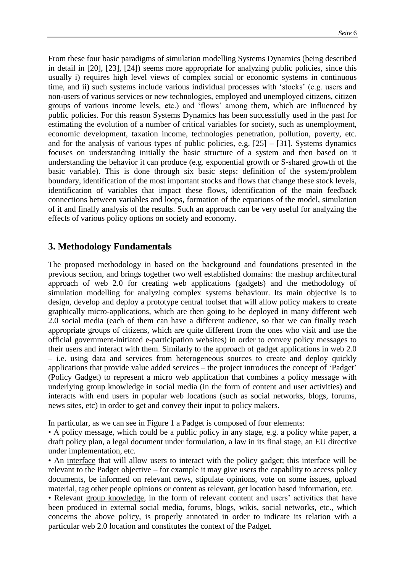From these four basic paradigms of simulation modelling Systems Dynamics (being described in detail in [20], [23], [24]) seems more appropriate for analyzing public policies, since this usually i) requires high level views of complex social or economic systems in continuous time, and ii) such systems include various individual processes with "stocks" (e.g. users and non-users of various services or new technologies, employed and unemployed citizens, citizen groups of various income levels, etc.) and "flows" among them, which are influenced by public policies. For this reason Systems Dynamics has been successfully used in the past for estimating the evolution of a number of critical variables for society, such as unemployment, economic development, taxation income, technologies penetration, pollution, poverty, etc. and for the analysis of various types of public policies, e.g.  $[25] - [31]$ . Systems dynamics focuses on understanding initially the basic structure of a system and then based on it understanding the behavior it can produce (e.g. exponential growth or S-shared growth of the basic variable). This is done through six basic steps: definition of the system/problem boundary, identification of the most important stocks and flows that change these stock levels, identification of variables that impact these flows, identification of the main feedback connections between variables and loops, formation of the equations of the model, simulation of it and finally analysis of the results. Such an approach can be very useful for analyzing the effects of various policy options on society and economy.

#### **3. Methodology Fundamentals**

The proposed methodology in based on the background and foundations presented in the previous section, and brings together two well established domains: the mashup architectural approach of web 2.0 for creating web applications (gadgets) and the methodology of simulation modelling for analyzing complex systems behaviour. Its main objective is to design, develop and deploy a prototype central toolset that will allow policy makers to create graphically micro-applications, which are then going to be deployed in many different web 2.0 social media (each of them can have a different audience, so that we can finally reach appropriate groups of citizens, which are quite different from the ones who visit and use the official government-initiated e-participation websites) in order to convey policy messages to their users and interact with them. Similarly to the approach of gadget applications in web 2.0 – i.e. using data and services from heterogeneous sources to create and deploy quickly applications that provide value added services – the project introduces the concept of "Padget" (Policy Gadget) to represent a micro web application that combines a policy message with underlying group knowledge in social media (in the form of content and user activities) and interacts with end users in popular web locations (such as social networks, blogs, forums, news sites, etc) in order to get and convey their input to policy makers.

In particular, as we can see in Figure 1 a Padget is composed of four elements:

• A policy message, which could be a public policy in any stage, e.g. a policy white paper, a draft policy plan, a legal document under formulation, a law in its final stage, an EU directive under implementation, etc.

• An interface that will allow users to interact with the policy gadget; this interface will be relevant to the Padget objective – for example it may give users the capability to access policy documents, be informed on relevant news, stipulate opinions, vote on some issues, upload material, tag other people opinions or content as relevant, get location based information, etc.

• Relevant group knowledge, in the form of relevant content and users' activities that have been produced in external social media, forums, blogs, wikis, social networks, etc., which concerns the above policy, is properly annotated in order to indicate its relation with a particular web 2.0 location and constitutes the context of the Padget.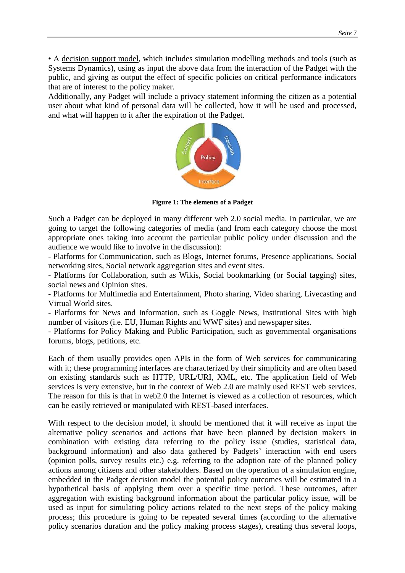• A decision support model, which includes simulation modelling methods and tools (such as Systems Dynamics), using as input the above data from the interaction of the Padget with the public, and giving as output the effect of specific policies on critical performance indicators that are of interest to the policy maker.

Additionally, any Padget will include a privacy statement informing the citizen as a potential user about what kind of personal data will be collected, how it will be used and processed, and what will happen to it after the expiration of the Padget.



**Figure 1: The elements of a Padget**

Such a Padget can be deployed in many different web 2.0 social media. In particular, we are going to target the following categories of media (and from each category choose the most appropriate ones taking into account the particular public policy under discussion and the audience we would like to involve in the discussion):

- Platforms for Communication, such as Blogs, Internet forums, Presence applications, Social networking sites, Social network aggregation sites and event sites.

- Platforms for Collaboration, such as Wikis, Social bookmarking (or Social tagging) sites, social news and Opinion sites.

- Platforms for Multimedia and Entertainment, Photo sharing, Video sharing, Livecasting and Virtual World sites.

- Platforms for News and Information, such as Goggle News, Institutional Sites with high number of visitors (i.e. EU, Human Rights and WWF sites) and newspaper sites.

- Platforms for Policy Making and Public Participation, such as governmental organisations forums, blogs, petitions, etc.

Each of them usually provides open APIs in the form of Web services for communicating with it; these programming interfaces are characterized by their simplicity and are often based on existing standards such as HTTP, URL/URI, XML, etc. The application field of Web services is very extensive, but in the context of Web 2.0 are mainly used REST web services. The reason for this is that in web2.0 the Internet is viewed as a collection of resources, which can be easily retrieved or manipulated with REST-based interfaces.

With respect to the decision model, it should be mentioned that it will receive as input the alternative policy scenarios and actions that have been planned by decision makers in combination with existing data referring to the policy issue (studies, statistical data, background information) and also data gathered by Padgets' interaction with end users (opinion polls, survey results etc.) e.g. referring to the adoption rate of the planned policy actions among citizens and other stakeholders. Based on the operation of a simulation engine, embedded in the Padget decision model the potential policy outcomes will be estimated in a hypothetical basis of applying them over a specific time period. These outcomes, after aggregation with existing background information about the particular policy issue, will be used as input for simulating policy actions related to the next steps of the policy making process; this procedure is going to be repeated several times (according to the alternative policy scenarios duration and the policy making process stages), creating thus several loops,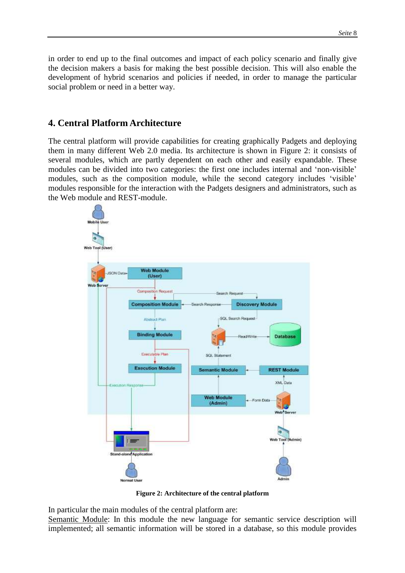in order to end up to the final outcomes and impact of each policy scenario and finally give the decision makers a basis for making the best possible decision. This will also enable the development of hybrid scenarios and policies if needed, in order to manage the particular social problem or need in a better way.

### **4. Central Platform Architecture**

The central platform will provide capabilities for creating graphically Padgets and deploying them in many different Web 2.0 media. Its architecture is shown in Figure 2: it consists of several modules, which are partly dependent on each other and easily expandable. These modules can be divided into two categories: the first one includes internal and "non-visible" modules, such as the composition module, while the second category includes "visible" modules responsible for the interaction with the Padgets designers and administrators, such as the Web module and REST-module.



**Figure 2: Architecture of the central platform**

In particular the main modules of the central platform are:

Semantic Module: In this module the new language for semantic service description will implemented; all semantic information will be stored in a database, so this module provides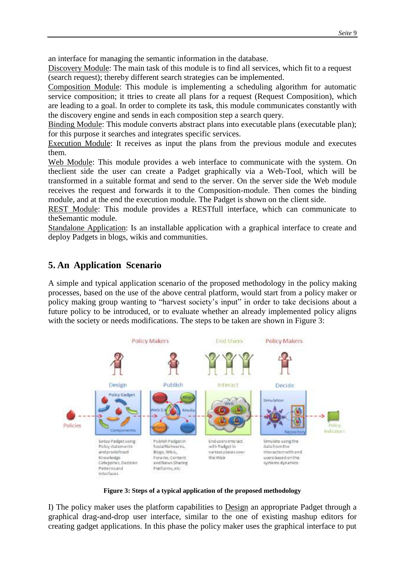an interface for managing the semantic information in the database.

Discovery Module: The main task of this module is to find all services, which fit to a request (search request); thereby different search strategies can be implemented.

Composition Module: This module is implementing a scheduling algorithm for automatic service composition; it ttries to create all plans for a request (Request Composition), which are leading to a goal. In order to complete its task, this module communicates constantly with the discovery engine and sends in each composition step a search query.

Binding Module: This module converts abstract plans into executable plans (executable plan); for this purpose it searches and integrates specific services.

Execution Module: It receives as input the plans from the previous module and executes them.

Web Module: This module provides a web interface to communicate with the system. On theclient side the user can create a Padget graphically via a Web-Tool, which will be transformed in a suitable format and send to the server. On the server side the Web module receives the request and forwards it to the Composition-module. Then comes the binding module, and at the end the execution module. The Padget is shown on the client side.

REST Module: This module provides a RESTfull interface, which can communicate to theSemantic module.

Standalone Application: Is an installable application with a graphical interface to create and deploy Padgets in blogs, wikis and communities.

## **5. An Application Scenario**

A simple and typical application scenario of the proposed methodology in the policy making processes, based on the use of the above central platform, would start from a policy maker or policy making group wanting to "harvest society"s input" in order to take decisions about a future policy to be introduced, or to evaluate whether an already implemented policy aligns with the society or needs modifications. The steps to be taken are shown in Figure 3:



**Figure 3: Steps of a typical application of the proposed methodology**

I) The policy maker uses the platform capabilities to Design an appropriate Padget through a graphical drag-and-drop user interface, similar to the one of existing mashup editors for creating gadget applications. In this phase the policy maker uses the graphical interface to put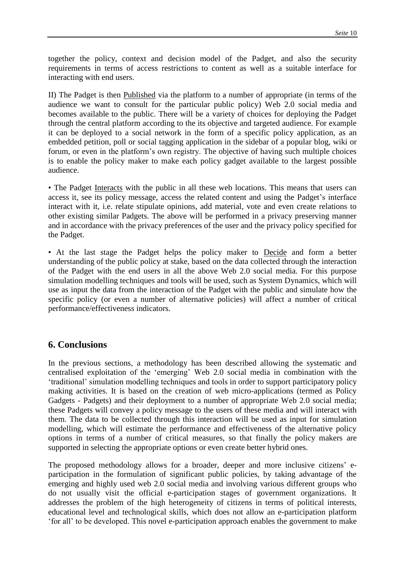together the policy, context and decision model of the Padget, and also the security requirements in terms of access restrictions to content as well as a suitable interface for interacting with end users.

II) The Padget is then Published via the platform to a number of appropriate (in terms of the audience we want to consult for the particular public policy) Web 2.0 social media and becomes available to the public. There will be a variety of choices for deploying the Padget through the central platform according to the its objective and targeted audience. For example it can be deployed to a social network in the form of a specific policy application, as an embedded petition, poll or social tagging application in the sidebar of a popular blog, wiki or forum, or even in the platform"s own registry. The objective of having such multiple choices is to enable the policy maker to make each policy gadget available to the largest possible audience.

• The Padget Interacts with the public in all these web locations. This means that users can access it, see its policy message, access the related content and using the Padget"s interface interact with it, i.e. relate stipulate opinions, add material, vote and even create relations to other existing similar Padgets. The above will be performed in a privacy preserving manner and in accordance with the privacy preferences of the user and the privacy policy specified for the Padget.

• At the last stage the Padget helps the policy maker to Decide and form a better understanding of the public policy at stake, based on the data collected through the interaction of the Padget with the end users in all the above Web 2.0 social media. For this purpose simulation modelling techniques and tools will be used, such as System Dynamics, which will use as input the data from the interaction of the Padget with the public and simulate how the specific policy (or even a number of alternative policies) will affect a number of critical performance/effectiveness indicators.

### **6. Conclusions**

In the previous sections, a methodology has been described allowing the systematic and centralised exploitation of the "emerging" Web 2.0 social media in combination with the "traditional" simulation modelling techniques and tools in order to support participatory policy making activities. It is based on the creation of web micro-applications (termed as Policy Gadgets - Padgets) and their deployment to a number of appropriate Web 2.0 social media; these Padgets will convey a policy message to the users of these media and will interact with them. The data to be collected through this interaction will be used as input for simulation modelling, which will estimate the performance and effectiveness of the alternative policy options in terms of a number of critical measures, so that finally the policy makers are supported in selecting the appropriate options or even create better hybrid ones.

The proposed methodology allows for a broader, deeper and more inclusive citizens' eparticipation in the formulation of significant public policies, by taking advantage of the emerging and highly used web 2.0 social media and involving various different groups who do not usually visit the official e-participation stages of government organizations. It addresses the problem of the high heterogeneity of citizens in terms of political interests, educational level and technological skills, which does not allow an e-participation platform "for all" to be developed. This novel e-participation approach enables the government to make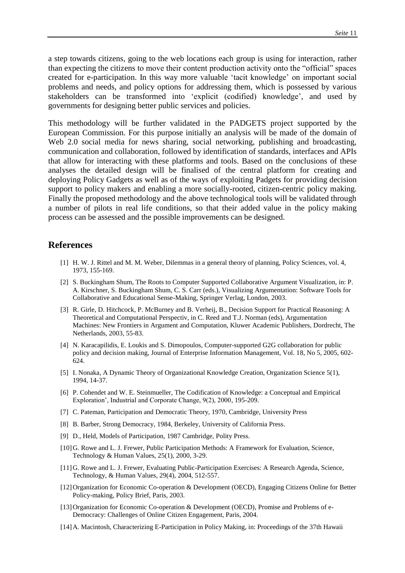a step towards citizens, going to the web locations each group is using for interaction, rather than expecting the citizens to move their content production activity onto the "official" spaces created for e-participation. In this way more valuable "tacit knowledge" on important social problems and needs, and policy options for addressing them, which is possessed by various stakeholders can be transformed into 'explicit (codified) knowledge', and used by governments for designing better public services and policies.

This methodology will be further validated in the PADGETS project supported by the European Commission. For this purpose initially an analysis will be made of the domain of Web 2.0 social media for news sharing, social networking, publishing and broadcasting, communication and collaboration, followed by identification of standards, interfaces and APIs that allow for interacting with these platforms and tools. Based on the conclusions of these analyses the detailed design will be finalised of the central platform for creating and deploying Policy Gadgets as well as of the ways of exploiting Padgets for providing decision support to policy makers and enabling a more socially-rooted, citizen-centric policy making. Finally the proposed methodology and the above technological tools will be validated through a number of pilots in real life conditions, so that their added value in the policy making process can be assessed and the possible improvements can be designed.

### **References**

- [1] H. W. J. Rittel and M. M. Weber, Dilemmas in a general theory of planning, Policy Sciences, vol. 4, 1973, 155-169.
- [2] S. Buckingham Shum, The Roots to Computer Supported Collaborative Argument Visualization, in: P. A. Kirschner, S. Buckingham Shum, C. S. Carr (eds.), Visualizing Argumentation: Software Tools for Collaborative and Educational Sense-Making, Springer Verlag, London, 2003.
- [3] R. Girle, D. Hitchcock, P. McBurney and B. Verheij, B., Decision Support for Practical Reasoning: A Theoretical and Computational Perspectiv, in C. Reed and T.J. Norman (eds), Argumentation Machines: New Frontiers in Argument and Computation, Kluwer Academic Publishers, Dordrecht, The Netherlands, 2003, 55-83.
- [4] N. Karacapilidis, E. Loukis and S. Dimopoulos, Computer-supported G2G collaboration for public policy and decision making, Journal of Enterprise Information Management, Vol. 18, No 5, 2005, 602- 624.
- [5] I. Nonaka, A Dynamic Theory of Organizational Knowledge Creation, Organization Science 5(1), 1994, 14-37.
- [6] P. Cohendet and W. E. Steinmueller, The Codification of Knowledge: a Conceptual and Empirical Exploration", Industrial and Corporate Change, 9(2), 2000, 195-209.
- [7] C. Pateman, Participation and Democratic Theory, 1970, Cambridge, University Press
- [8] B. Barber, Strong Democracy*,* 1984, Berkeley, University of California Press.
- [9] D., Held, Models of Participation, 1987 Cambridge, Polity Press.
- [10]G. Rowe and L. J. Frewer, Public Participation Methods: A Framework for Evaluation, Science, Technology & Human Values, 25(1), 2000, 3-29.
- [11]G. Rowe and L. J. Frewer, Evaluating Public-Participation Exercises: A Research Agenda, Science, Technology, & Human Values, 29(4), 2004, 512-557.
- [12]Organization for Economic Co-operation & Development (OECD), Engaging Citizens Online for Better Policy-making, Policy Brief, Paris, 2003.
- [13]Organization for Economic Co-operation & Development (OECD), Promise and Problems of e-Democracy: Challenges of Online Citizen Engagement, Paris, 2004.
- [14]A. Macintosh, Characterizing E-Participation in Policy Making, in: Proceedings of the 37th Hawaii